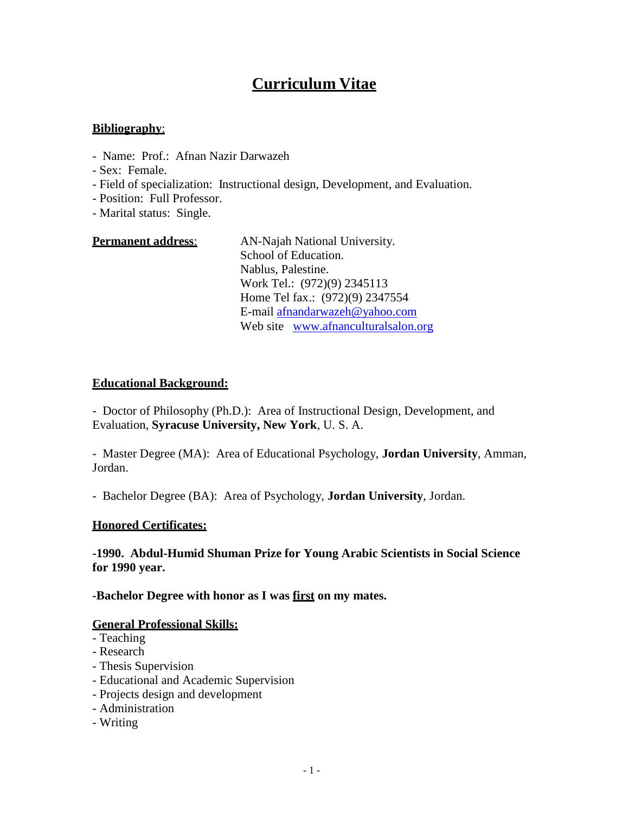# **Curriculum Vitae**

# **Bibliography**:

- Name: Prof.: Afnan Nazir Darwazeh
- Sex: Female.
- Field of specialization: Instructional design, Development, and Evaluation.
- Position: Full Professor.
- Marital status: Single.

| <b>Permanent address:</b> | AN-Najah National University.       |
|---------------------------|-------------------------------------|
|                           | School of Education.                |
|                           | Nablus, Palestine.                  |
|                           | Work Tel.: (972)(9) 2345113         |
|                           | Home Tel fax.: (972)(9) 2347554     |
|                           | E-mail afnandarwazeh@yahoo.com      |
|                           | Web site www.afnanculturalsalon.org |

#### **Educational Background:**

- Doctor of Philosophy (Ph.D.): Area of Instructional Design, Development, and Evaluation, **Syracuse University, New York**, U. S. A.

- Master Degree (MA): Area of Educational Psychology, **Jordan University**, Amman, Jordan.

- Bachelor Degree (BA): Area of Psychology, **Jordan University**, Jordan.

#### **Honored Certificates:**

#### **-1990. Abdul-Humid Shuman Prize for Young Arabic Scientists in Social Science for 1990 year.**

#### **-Bachelor Degree with honor as I was first on my mates.**

#### **General Professional Skills:**

- Teaching
- Research
- Thesis Supervision
- Educational and Academic Supervision
- Projects design and development
- Administration
- Writing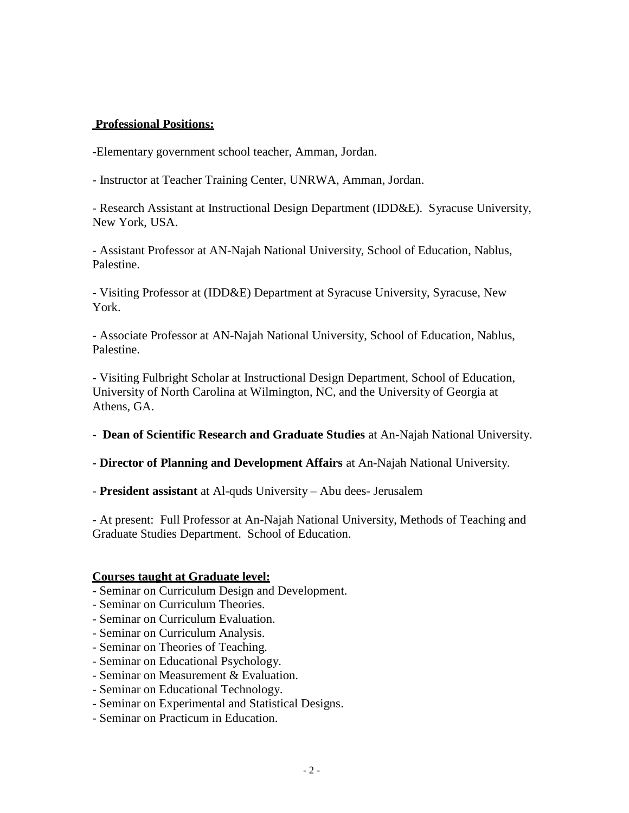# **Professional Positions:**

-Elementary government school teacher, Amman, Jordan.

- Instructor at Teacher Training Center, UNRWA, Amman, Jordan.

- Research Assistant at Instructional Design Department (IDD&E). Syracuse University, New York, USA.

- Assistant Professor at AN-Najah National University, School of Education, Nablus, Palestine.

- Visiting Professor at (IDD&E) Department at Syracuse University, Syracuse, New York.

- Associate Professor at AN-Najah National University, School of Education, Nablus, Palestine.

- Visiting Fulbright Scholar at Instructional Design Department, School of Education, University of North Carolina at Wilmington, NC, and the University of Georgia at Athens, GA.

**- Dean of Scientific Research and Graduate Studies** at An-Najah National University.

**- Director of Planning and Development Affairs** at An-Najah National University.

- **President assistant** at Al-quds University – Abu dees- Jerusalem

- At present: Full Professor at An-Najah National University, Methods of Teaching and Graduate Studies Department. School of Education.

#### **Courses taught at Graduate level:**

- Seminar on Curriculum Design and Development.
- Seminar on Curriculum Theories.
- Seminar on Curriculum Evaluation.
- Seminar on Curriculum Analysis.
- Seminar on Theories of Teaching.
- Seminar on Educational Psychology.
- Seminar on Measurement & Evaluation.
- Seminar on Educational Technology.
- Seminar on Experimental and Statistical Designs.
- Seminar on Practicum in Education.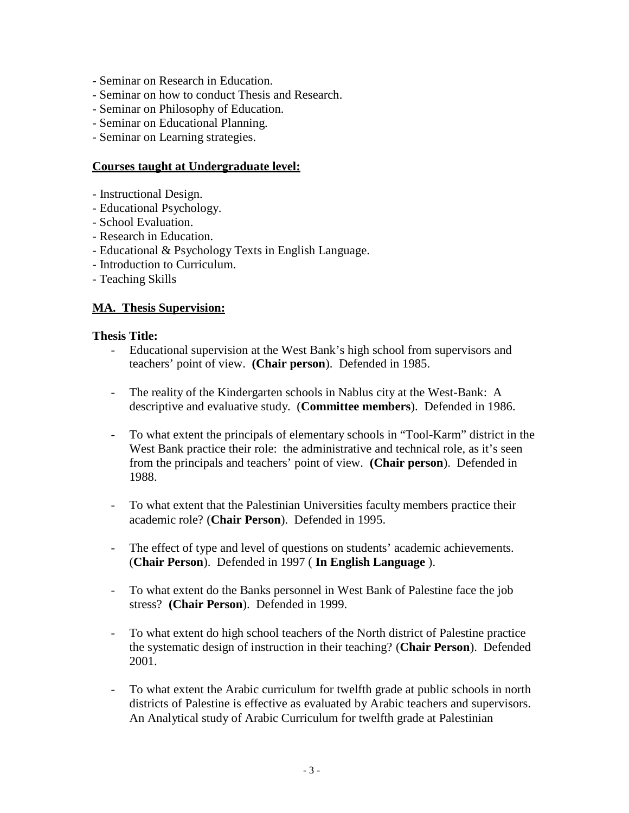- Seminar on Research in Education.
- Seminar on how to conduct Thesis and Research.
- Seminar on Philosophy of Education.
- Seminar on Educational Planning.
- Seminar on Learning strategies.

# **Courses taught at Undergraduate level:**

- Instructional Design.
- Educational Psychology.
- School Evaluation.
- Research in Education.
- Educational & Psychology Texts in English Language.
- Introduction to Curriculum.
- Teaching Skills

# **MA. Thesis Supervision:**

#### **Thesis Title:**

- Educational supervision at the West Bank's high school from supervisors and teachers' point of view. **(Chair person**). Defended in 1985.
- The reality of the Kindergarten schools in Nablus city at the West-Bank: A descriptive and evaluative study. (**Committee members**). Defended in 1986.
- To what extent the principals of elementary schools in "Tool-Karm" district in the West Bank practice their role: the administrative and technical role, as it's seen from the principals and teachers' point of view. **(Chair person**). Defended in 1988.
- To what extent that the Palestinian Universities faculty members practice their academic role? (**Chair Person**). Defended in 1995.
- The effect of type and level of questions on students' academic achievements. (**Chair Person**). Defended in 1997 ( **In English Language** ).
- To what extent do the Banks personnel in West Bank of Palestine face the job stress? **(Chair Person**). Defended in 1999.
- To what extent do high school teachers of the North district of Palestine practice the systematic design of instruction in their teaching? (**Chair Person**). Defended 2001.
- To what extent the Arabic curriculum for twelfth grade at public schools in north districts of Palestine is effective as evaluated by Arabic teachers and supervisors. An Analytical study of Arabic Curriculum for twelfth grade at Palestinian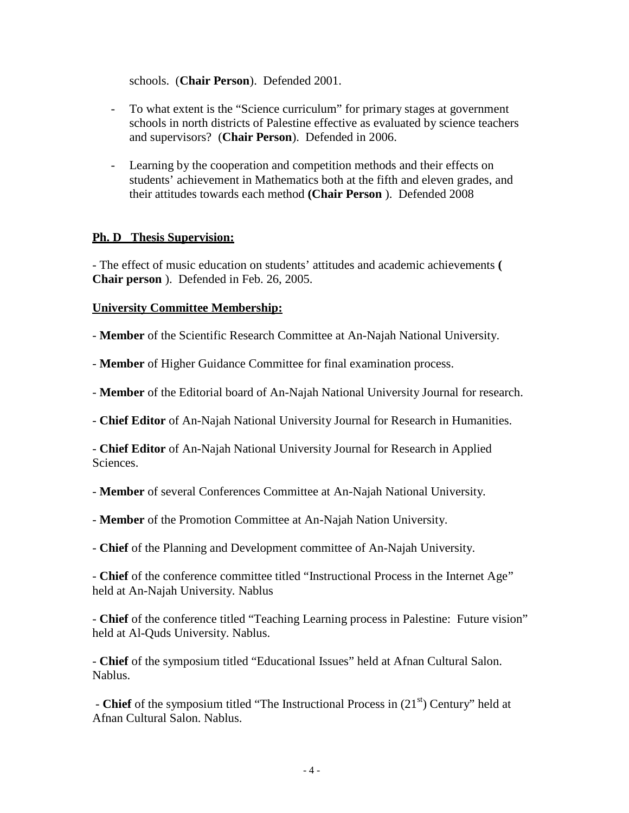schools. (**Chair Person**). Defended 2001.

- To what extent is the "Science curriculum" for primary stages at government schools in north districts of Palestine effective as evaluated by science teachers and supervisors? (**Chair Person**). Defended in 2006.
- Learning by the cooperation and competition methods and their effects on students' achievement in Mathematics both at the fifth and eleven grades, and their attitudes towards each method **(Chair Person** ). Defended 2008

# **Ph. D Thesis Supervision:**

- The effect of music education on students' attitudes and academic achievements **( Chair person** ). Defended in Feb. 26, 2005.

# **University Committee Membership:**

- **Member** of the Scientific Research Committee at An-Najah National University.

- **Member** of Higher Guidance Committee for final examination process.

- **Member** of the Editorial board of An-Najah National University Journal for research.

- **Chief Editor** of An-Najah National University Journal for Research in Humanities.

- **Chief Editor** of An-Najah National University Journal for Research in Applied Sciences.

- **Member** of several Conferences Committee at An-Najah National University.

- **Member** of the Promotion Committee at An-Najah Nation University.

- **Chief** of the Planning and Development committee of An-Najah University.

- **Chief** of the conference committee titled "Instructional Process in the Internet Age" held at An-Najah University. Nablus

- **Chief** of the conference titled "Teaching Learning process in Palestine: Future vision" held at Al-Quds University. Nablus.

- **Chief** of the symposium titled "Educational Issues" held at Afnan Cultural Salon. Nablus.

- **Chief** of the symposium titled "The Instructional Process in (21<sup>st</sup>) Century" held at Afnan Cultural Salon. Nablus.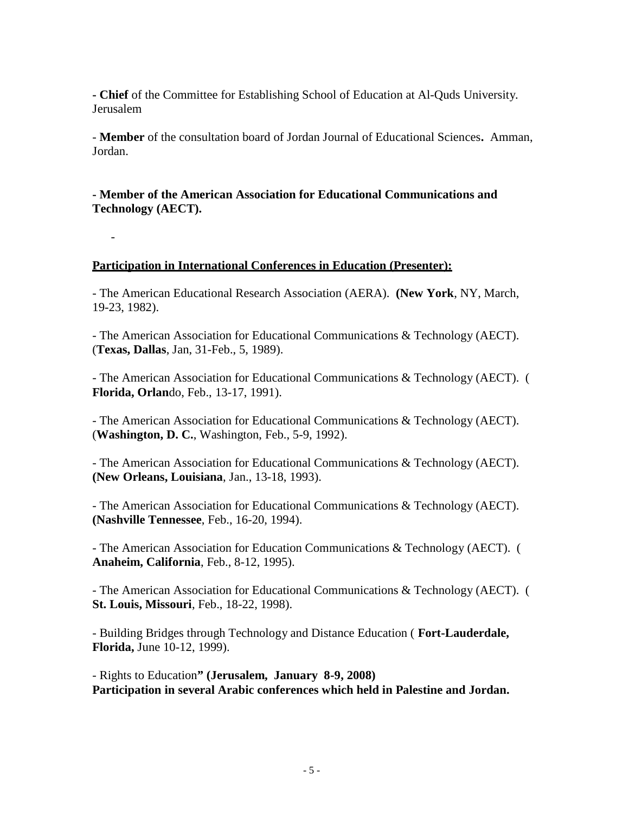**- Chief** of the Committee for Establishing School of Education at Al-Quds University. Jerusalem

- **Member** of the consultation board of Jordan Journal of Educational Sciences**.** Amman, Jordan.

**- Member of the American Association for Educational Communications and Technology (AECT).**

# **Participation in International Conferences in Education (Presenter):**

-

- The American Educational Research Association (AERA). **(New York**, NY, March, 19-23, 1982).

- The American Association for Educational Communications & Technology (AECT). (**Texas, Dallas**, Jan, 31-Feb., 5, 1989).

- The American Association for Educational Communications & Technology (AECT). ( **Florida, Orlan**do, Feb., 13-17, 1991).

- The American Association for Educational Communications & Technology (AECT). (**Washington, D. C.**, Washington, Feb., 5-9, 1992).

- The American Association for Educational Communications & Technology (AECT). **(New Orleans, Louisiana**, Jan., 13-18, 1993).

- The American Association for Educational Communications & Technology (AECT). **(Nashville Tennessee**, Feb., 16-20, 1994).

- The American Association for Education Communications & Technology (AECT). ( **Anaheim, California**, Feb., 8-12, 1995).

- The American Association for Educational Communications & Technology (AECT). ( **St. Louis, Missouri**, Feb., 18-22, 1998).

- Building Bridges through Technology and Distance Education ( **Fort-Lauderdale, Florida,** June 10-12, 1999).

- Rights to Education**" (Jerusalem, January 8-9, 2008) Participation in several Arabic conferences which held in Palestine and Jordan.**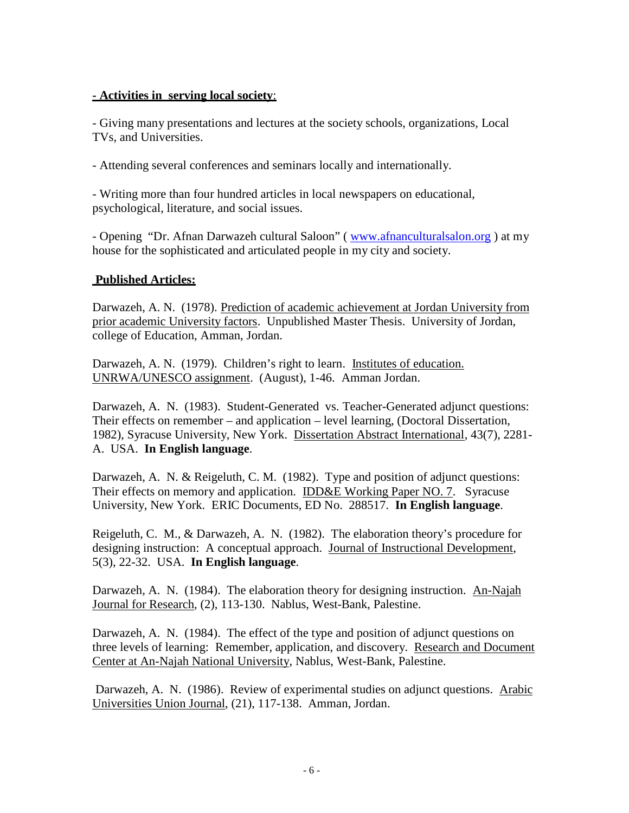# **- Activities in serving local society**:

- Giving many presentations and lectures at the society schools, organizations, Local TVs, and Universities.

- Attending several conferences and seminars locally and internationally.

- Writing more than four hundred articles in local newspapers on educational, psychological, literature, and social issues.

- Opening "Dr. Afnan Darwazeh cultural Saloon" ( www.afnanculturalsalon.org ) at my house for the sophisticated and articulated people in my city and society.

# **Published Articles:**

Darwazeh, A. N. (1978). Prediction of academic achievement at Jordan University from prior academic University factors. Unpublished Master Thesis. University of Jordan, college of Education, Amman, Jordan.

Darwazeh, A. N. (1979). Children's right to learn. Institutes of education. UNRWA/UNESCO assignment. (August), 1-46. Amman Jordan.

Darwazeh, A. N. (1983). Student-Generated vs. Teacher-Generated adjunct questions: Their effects on remember – and application – level learning, (Doctoral Dissertation, 1982), Syracuse University, New York. Dissertation Abstract International, 43(7), 2281- A. USA. **In English language**.

Darwazeh, A. N. & Reigeluth, C. M. (1982). Type and position of adjunct questions: Their effects on memory and application. IDD&E Working Paper NO. 7. Syracuse University, New York. ERIC Documents, ED No. 288517. **In English language**.

Reigeluth, C. M., & Darwazeh, A. N. (1982). The elaboration theory's procedure for designing instruction: A conceptual approach. Journal of Instructional Development, 5(3), 22-32. USA. **In English language**.

Darwazeh, A. N. (1984). The elaboration theory for designing instruction. An-Najah Journal for Research, (2), 113-130. Nablus, West-Bank, Palestine.

Darwazeh, A. N. (1984). The effect of the type and position of adjunct questions on three levels of learning: Remember, application, and discovery. Research and Document Center at An-Najah National University, Nablus, West-Bank, Palestine.

Darwazeh, A. N. (1986). Review of experimental studies on adjunct questions. Arabic Universities Union Journal, (21), 117-138. Amman, Jordan.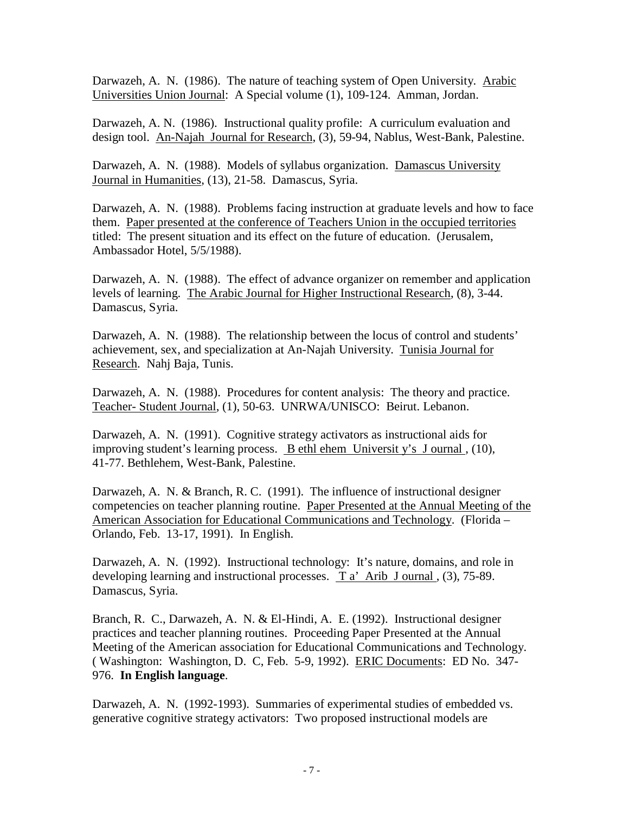Darwazeh, A. N. (1986). The nature of teaching system of Open University. Arabic Universities Union Journal: A Special volume (1), 109-124. Amman, Jordan.

Darwazeh, A. N. (1986). Instructional quality profile: A curriculum evaluation and design tool. An-Najah Journal for Research, (3), 59-94, Nablus, West-Bank, Palestine.

Darwazeh, A. N. (1988). Models of syllabus organization. Damascus University Journal in Humanities, (13), 21-58. Damascus, Syria.

Darwazeh, A. N. (1988). Problems facing instruction at graduate levels and how to face them. Paper presented at the conference of Teachers Union in the occupied territories titled: The present situation and its effect on the future of education. (Jerusalem, Ambassador Hotel, 5/5/1988).

Darwazeh, A. N. (1988). The effect of advance organizer on remember and application levels of learning. The Arabic Journal for Higher Instructional Research, (8), 3-44. Damascus, Syria.

Darwazeh, A. N. (1988). The relationship between the locus of control and students' achievement, sex, and specialization at An-Najah University. Tunisia Journal for Research. Nahj Baja, Tunis.

Darwazeh, A. N. (1988). Procedures for content analysis: The theory and practice. Teacher- Student Journal, (1), 50-63. UNRWA/UNISCO: Beirut. Lebanon.

Darwazeh, A. N. (1991). Cognitive strategy activators as instructional aids for improving student's learning process. B ethl ehem Universit y's J ournal , (10), 41-77. Bethlehem, West-Bank, Palestine.

Darwazeh, A. N. & Branch, R. C. (1991). The influence of instructional designer competencies on teacher planning routine. Paper Presented at the Annual Meeting of the American Association for Educational Communications and Technology. (Florida – Orlando, Feb. 13-17, 1991). In English.

Darwazeh, A. N. (1992). Instructional technology: It's nature, domains, and role in developing learning and instructional processes. T a' Arib J ournal , (3), 75-89. Damascus, Syria.

Branch, R. C., Darwazeh, A. N. & El-Hindi, A. E. (1992). Instructional designer practices and teacher planning routines. Proceeding Paper Presented at the Annual Meeting of the American association for Educational Communications and Technology. ( Washington: Washington, D. C, Feb. 5-9, 1992). ERIC Documents: ED No. 347- 976. **In English language**.

Darwazeh, A. N. (1992-1993). Summaries of experimental studies of embedded vs. generative cognitive strategy activators: Two proposed instructional models are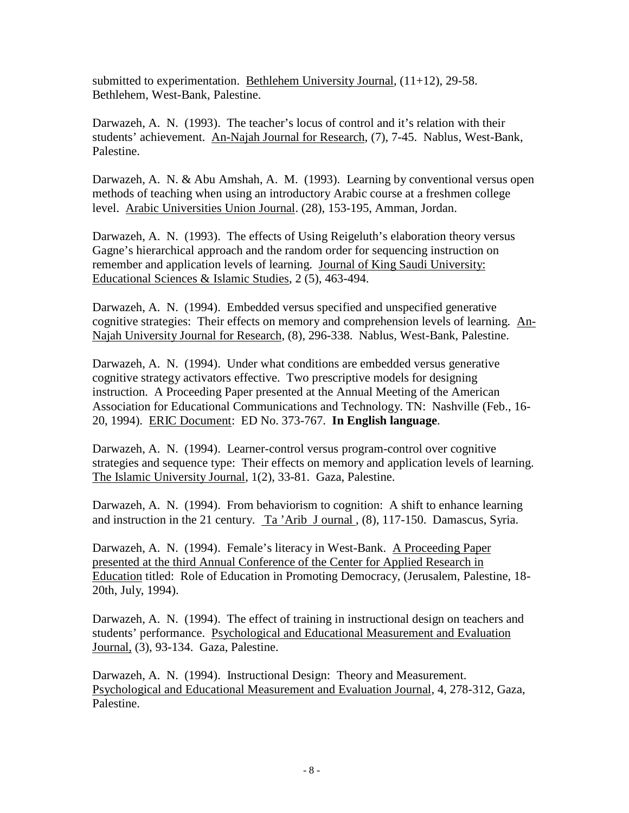submitted to experimentation. Bethlehem University Journal,  $(11+12)$ , 29-58. Bethlehem, West-Bank, Palestine.

Darwazeh, A. N. (1993). The teacher's locus of control and it's relation with their students' achievement. An-Najah Journal for Research, (7), 7-45. Nablus, West-Bank, Palestine.

Darwazeh, A. N. & Abu Amshah, A. M. (1993). Learning by conventional versus open methods of teaching when using an introductory Arabic course at a freshmen college level. Arabic Universities Union Journal. (28), 153-195, Amman, Jordan.

Darwazeh, A. N. (1993). The effects of Using Reigeluth's elaboration theory versus Gagne's hierarchical approach and the random order for sequencing instruction on remember and application levels of learning. Journal of King Saudi University: Educational Sciences & Islamic Studies, 2 (5), 463-494.

Darwazeh, A. N. (1994). Embedded versus specified and unspecified generative cognitive strategies: Their effects on memory and comprehension levels of learning. An- Najah University Journal for Research, (8), 296-338. Nablus, West-Bank, Palestine.

Darwazeh, A. N. (1994). Under what conditions are embedded versus generative cognitive strategy activators effective. Two prescriptive models for designing instruction. A Proceeding Paper presented at the Annual Meeting of the American Association for Educational Communications and Technology. TN: Nashville (Feb., 16- 20, 1994). ERIC Document: ED No. 373-767. **In English language**.

Darwazeh, A. N. (1994). Learner-control versus program-control over cognitive strategies and sequence type: Their effects on memory and application levels of learning. The Islamic University Journal, 1(2), 33-81. Gaza, Palestine.

Darwazeh, A. N. (1994). From behaviorism to cognition: A shift to enhance learning and instruction in the 21 century. Ta 'Arib J ournal, (8), 117-150. Damascus, Syria.

Darwazeh, A. N. (1994). Female's literacy in West-Bank. A Proceeding Paper presented at the third Annual Conference of the Center for Applied Research in Education titled: Role of Education in Promoting Democracy, (Jerusalem, Palestine, 18- 20th, July, 1994).

Darwazeh, A. N. (1994). The effect of training in instructional design on teachers and students' performance. Psychological and Educational Measurement and Evaluation Journal, (3), 93-134. Gaza, Palestine.

Darwazeh, A. N. (1994). Instructional Design: Theory and Measurement. Psychological and Educational Measurement and Evaluation Journal, 4, 278-312, Gaza, Palestine.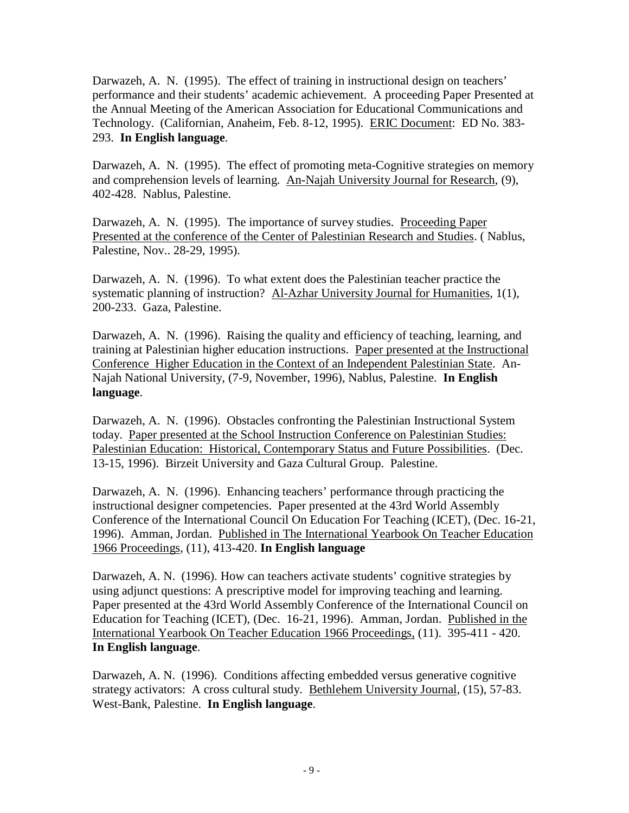Darwazeh, A. N. (1995). The effect of training in instructional design on teachers' performance and their students' academic achievement. A proceeding Paper Presented at the Annual Meeting of the American Association for Educational Communications and Technology. (Californian, Anaheim, Feb. 8-12, 1995). ERIC Document: ED No. 383-293. **In English language**.

Darwazeh, A. N. (1995). The effect of promoting meta-Cognitive strategies on memory and comprehension levels of learning. An-Najah University Journal for Research, (9), 402-428. Nablus, Palestine.

Darwazeh, A. N. (1995). The importance of survey studies. Proceeding Paper Presented at the conference of the Center of Palestinian Research and Studies. ( Nablus, Palestine, Nov.. 28-29, 1995).

Darwazeh, A. N. (1996). To what extent does the Palestinian teacher practice the systematic planning of instruction? Al-Azhar University Journal for Humanities, 1(1), 200-233. Gaza, Palestine.

Darwazeh, A. N. (1996). Raising the quality and efficiency of teaching, learning, and training at Palestinian higher education instructions. Paper presented at the Instructional Conference Higher Education in the Context of an Independent Palestinian State. An- Najah National University, (7-9, November, 1996), Nablus, Palestine. **In English language**.

Darwazeh, A. N. (1996). Obstacles confronting the Palestinian Instructional System today. Paper presented at the School Instruction Conference on Palestinian Studies: Palestinian Education: Historical, Contemporary Status and Future Possibilities. (Dec. 13-15, 1996). Birzeit University and Gaza Cultural Group. Palestine.

Darwazeh, A. N. (1996). Enhancing teachers' performance through practicing the instructional designer competencies. Paper presented at the 43rd World Assembly Conference of the International Council On Education For Teaching (ICET), (Dec. 16-21, 1996). Amman, Jordan. Published in The International Yearbook On Teacher Education 1966 Proceedings, (11), 413-420. **In English language**

Darwazeh, A. N. (1996). How can teachers activate students' cognitive strategies by using adjunct questions: A prescriptive model for improving teaching and learning. Paper presented at the 43rd World Assembly Conference of the International Council on Education for Teaching (ICET), (Dec. 16-21, 1996). Amman, Jordan. Published in the International Yearbook On Teacher Education 1966 Proceedings, (11). 395-411 - 420. **In English language**.

Darwazeh, A. N. (1996). Conditions affecting embedded versus generative cognitive strategy activators: A cross cultural study. Bethlehem University Journal, (15), 57-83. West-Bank, Palestine. **In English language**.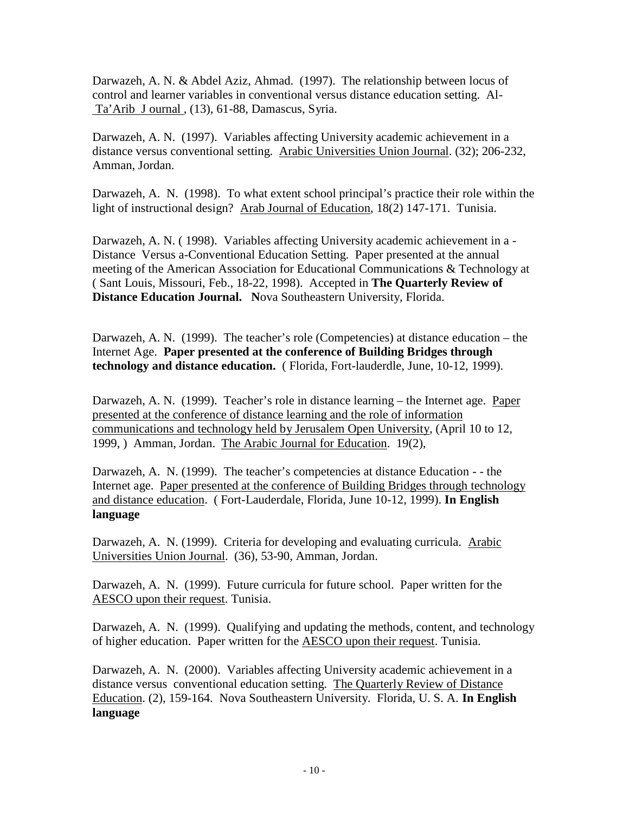Darwazeh, A. N. & Abdel Aziz, Ahmad. (1997). The relationship between locus of control and learner variables in conventional versus distance education setting. Al- Ta'Arib J ournal , (13), 61-88, Damascus, Syria.

Darwazeh, A. N. (1997). Variables affecting University academic achievement in a distance versus conventional setting. Arabic Universities Union Journal. (32); 206-232, Amman, Jordan.

Darwazeh, A. N. (1998). To what extent school principal's practice their role within the light of instructional design? Arab Journal of Education, 18(2) 147-171. Tunisia.

Darwazeh, A. N. ( 1998). Variables affecting University academic achievement in a - Distance Versus a-Conventional Education Setting. Paper presented at the annual meeting of the American Association for Educational Communications & Technology at ( Sant Louis, Missouri, Feb., 18-22, 1998). Accepted in **The Quarterly Review of Distance Education Journal. N**ova Southeastern University, Florida.

Darwazeh, A. N. (1999). The teacher's role (Competencies) at distance education – the Internet Age. **Paper presented at the conference of Building Bridges through technology and distance education.** ( Florida, Fort-lauderdle, June, 10-12, 1999).

Darwazeh, A. N. (1999). Teacher's role in distance learning – the Internet age. Paper presented at the conference of distance learning and the role of information communications and technology held by Jerusalem Open University, (April 10 to 12, 1999, ) Amman, Jordan. The Arabic Journal for Education. 19(2),

Darwazeh, A. N. (1999). The teacher's competencies at distance Education - - the Internet age. Paper presented at the conference of Building Bridges through technology and distance education. ( Fort-Lauderdale, Florida, June 10-12, 1999). **In English language**

Darwazeh, A. N. (1999). Criteria for developing and evaluating curricula. Arabic Universities Union Journal. (36), 53-90, Amman, Jordan.

Darwazeh, A. N. (1999). Future curricula for future school. Paper written for the AESCO upon their request. Tunisia.

Darwazeh, A. N. (1999). Qualifying and updating the methods, content, and technology of higher education. Paper written for the AESCO upon their request. Tunisia.

Darwazeh, A. N. (2000). Variables affecting University academic achievement in a distance versus conventional education setting. The Quarterly Review of Distance Education. (2), 159-164. Nova Southeastern University. Florida, U. S. A. **In English language**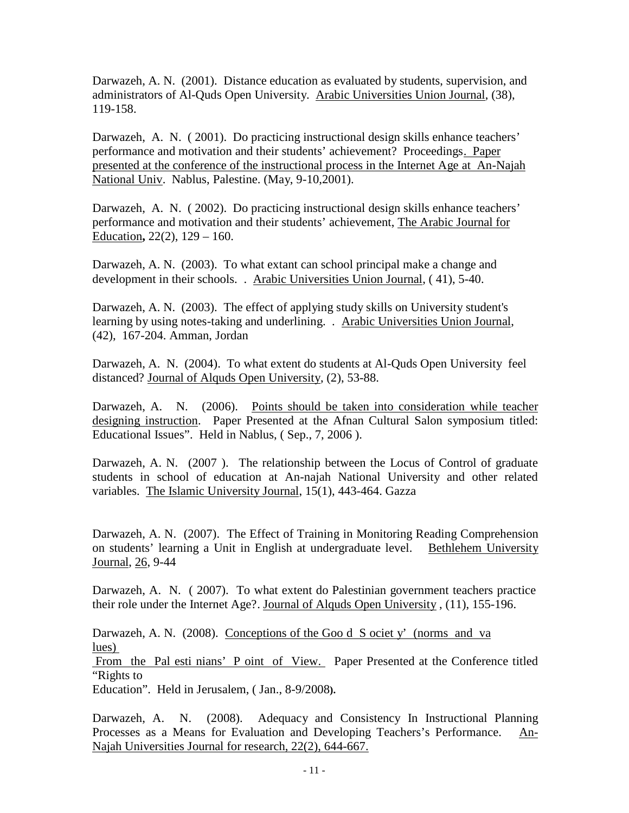Darwazeh, A. N. (2001). Distance education as evaluated by students, supervision, and administrators of Al-Quds Open University. Arabic Universities Union Journal, (38), 119-158.

Darwazeh, A. N. ( 2001). Do practicing instructional design skills enhance teachers' performance and motivation and their students' achievement? Proceedings. Paper presented at the conference of the instructional process in the Internet Age at An-Najah National Univ. Nablus, Palestine. (May, 9-10,2001).

Darwazeh, A. N. ( 2002). Do practicing instructional design skills enhance teachers' performance and motivation and their students' achievement, The Arabic Journal for Education**,** 22(2), 129 – 160.

Darwazeh, A. N. (2003). To what extant can school principal make a change and development in their schools. . Arabic Universities Union Journal, ( 41), 5-40.

Darwazeh, A. N. (2003). The effect of applying study skills on University student's learning by using notes-taking and underlining. . Arabic Universities Union Journal, (42), 167-204. Amman, Jordan

Darwazeh, A. N. (2004). To what extent do students at Al-Quds Open University feel distanced? Journal of Alquds Open University, (2), 53-88.

Darwazeh, A. N. (2006). Points should be taken into consideration while teacher designing instruction. Paper Presented at the Afnan Cultural Salon symposium titled: Educational Issues". Held in Nablus, ( Sep., 7, 2006 ).

Darwazeh, A. N. (2007 ). The relationship between the Locus of Control of graduate students in school of education at An-najah National University and other related variables. The Islamic University Journal, 15(1), 443-464. Gazza

Darwazeh, A. N. (2007). The Effect of Training in Monitoring Reading Comprehension on students' learning a Unit in English at undergraduate level. Bethlehem University Journal, 26, 9-44

Darwazeh, A. N. ( 2007). To what extent do Palestinian government teachers practice their role under the Internet Age?. Journal of Alquds Open University , (11), 155-196.

Darwazeh, A. N. (2008). Conceptions of the Goo d S ociet y' (norms and va lues)

From the Pal esti nians' P oint of View. Paper Presented at the Conference titled "Rights to

Education". Held in Jerusalem, ( Jan., 8-9/2008**).**

Darwazeh, A. N. (2008). Adequacy and Consistency In Instructional Planning Processes as a Means for Evaluation and Developing Teachers's Performance. An-Najah Universities Journal for research, 22(2), 644-667.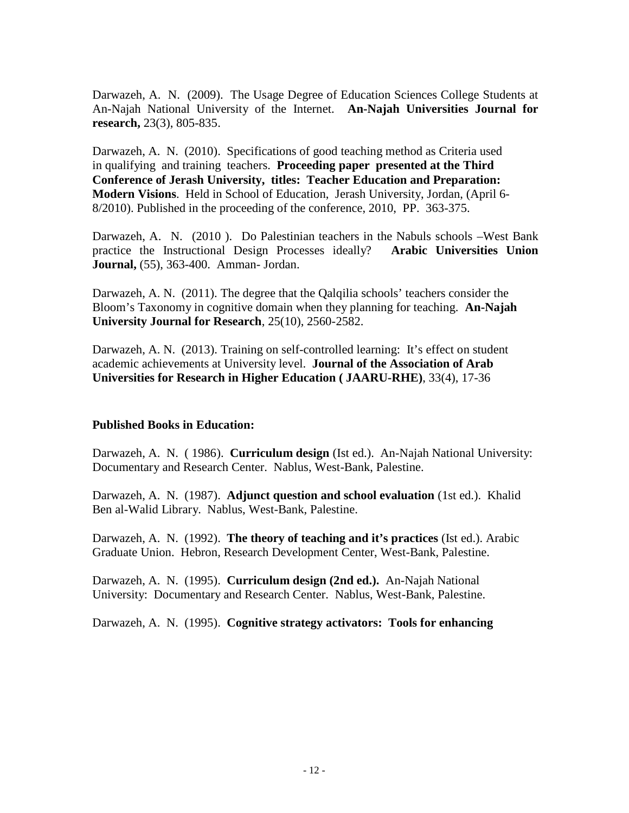Darwazeh, A. N. (2009). The Usage Degree of Education Sciences College Students at An-Najah National University of the Internet. **An-Najah Universities Journal for research,** 23(3), 805-835.

Darwazeh, A. N. (2010). Specifications of good teaching method as Criteria used in qualifying and training teachers. **Proceeding paper presented at the Third Conference of Jerash University, titles: Teacher Education and Preparation: Modern Visions**. Held in School of Education, Jerash University, Jordan, (April 6- 8/2010). Published in the proceeding of the conference, 2010, PP. 363-375.

Darwazeh, A. N. (2010 ). Do Palestinian teachers in the Nabuls schools –West Bank practice the Instructional Design Processes ideally? **Arabic Universities Union Journal,** (55), 363-400. Amman- Jordan.

Darwazeh, A. N. (2011). The degree that the Qalqilia schools' teachers consider the Bloom's Taxonomy in cognitive domain when they planning for teaching. **An-Najah University Journal for Research**, 25(10), 2560-2582.

Darwazeh, A. N. (2013). Training on self-controlled learning: It's effect on student academic achievements at University level. **Journal of the Association of Arab Universities for Research in Higher Education ( JAARU-RHE)**, 33(4), 17-36

# **Published Books in Education:**

Darwazeh, A. N. ( 1986). **Curriculum design** (Ist ed.). An-Najah National University: Documentary and Research Center. Nablus, West-Bank, Palestine.

Darwazeh, A. N. (1987). **Adjunct question and school evaluation** (1st ed.). Khalid Ben al-Walid Library. Nablus, West-Bank, Palestine.

Darwazeh, A. N. (1992). **The theory of teaching and it's practices** (Ist ed.). Arabic Graduate Union. Hebron, Research Development Center, West-Bank, Palestine.

Darwazeh, A. N. (1995). **Curriculum design (2nd ed.).** An-Najah National University: Documentary and Research Center. Nablus, West-Bank, Palestine.

Darwazeh, A. N. (1995). **Cognitive strategy activators: Tools for enhancing**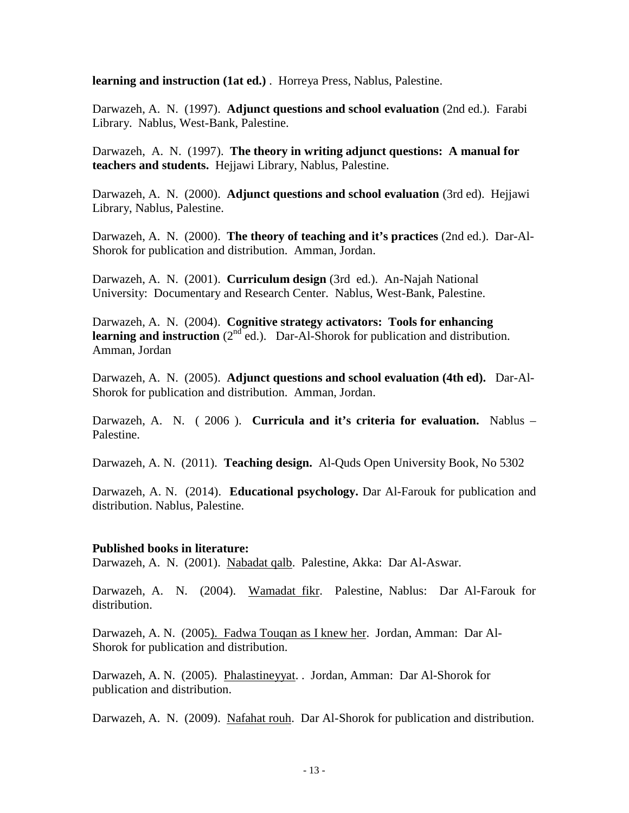**learning and instruction (1at ed.)** . Horreya Press, Nablus, Palestine.

Darwazeh, A. N. (1997). **Adjunct questions and school evaluation** (2nd ed.). Farabi Library. Nablus, West-Bank, Palestine.

Darwazeh, A. N. (1997). **The theory in writing adjunct questions: A manual for teachers and students.** Hejjawi Library, Nablus, Palestine.

Darwazeh, A. N. (2000). **Adjunct questions and school evaluation** (3rd ed). Hejjawi Library, Nablus, Palestine.

Darwazeh, A. N. (2000). **The theory of teaching and it's practices** (2nd ed.). Dar-Al- Shorok for publication and distribution. Amman, Jordan.

Darwazeh, A. N. (2001). **Curriculum design** (3rd ed.). An-Najah National University: Documentary and Research Center. Nablus, West-Bank, Palestine.

Darwazeh, A. N. (2004). **Cognitive strategy activators: Tools for enhancing learning and instruction** (2<sup>nd</sup> ed.). Dar-Al-Shorok for publication and distribution. Amman, Jordan

Darwazeh, A. N. (2005). **Adjunct questions and school evaluation (4th ed).** Dar-Al- Shorok for publication and distribution. Amman, Jordan.

Darwazeh, A. N. ( 2006 ). **Curricula and it's criteria for evaluation.** Nablus – Palestine.

Darwazeh, A. N. (2011). **Teaching design.** Al-Quds Open University Book, No 5302

Darwazeh, A. N. (2014). **Educational psychology.** Dar Al-Farouk for publication and distribution. Nablus, Palestine.

#### **Published books in literature:**

Darwazeh, A. N. (2001). Nabadat qalb. Palestine, Akka: Dar Al-Aswar.

Darwazeh, A. N. (2004). Wamadat fikr. Palestine, Nablus: Dar Al-Farouk for distribution.

Darwazeh, A. N. (2005). Fadwa Touqan as I knew her. Jordan, Amman: Dar Al- Shorok for publication and distribution.

Darwazeh, A. N. (2005). Phalastineyyat. . Jordan, Amman: Dar Al-Shorok for publication and distribution.

Darwazeh, A. N. (2009). Nafahat rouh. Dar Al-Shorok for publication and distribution.